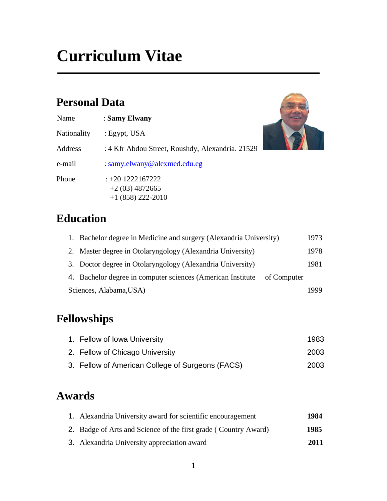# **Personal Data**

| Name        | : Samy Elwany                                                 |
|-------------|---------------------------------------------------------------|
| Nationality | : Egypt, USA                                                  |
| Address     | : 4 Kfr Abdou Street, Roushdy, Alexandria. 21529              |
| e-mail      | : samy.elwany@alexmed.edu.eg                                  |
| Phone       | $: +20$ 1222167222<br>$+2(03)$ 4872665<br>$+1$ (858) 222-2010 |



| 1. Bachelor degree in Medicine and surgery (Alexandria University)      | 1973 |
|-------------------------------------------------------------------------|------|
| 2. Master degree in Otolaryngology (Alexandria University)              | 1978 |
| 3. Doctor degree in Otolaryngology (Alexandria University)              | 1981 |
| 4. Bachelor degree in computer sciences (American Institute of Computer |      |
| Sciences, Alabama, USA)                                                 |      |

# **Fellowships**

| 1. Fellow of Iowa University                     | 1983 |
|--------------------------------------------------|------|
| 2. Fellow of Chicago University                  | 2003 |
| 3. Fellow of American College of Surgeons (FACS) | 2003 |

# **Awards**

| 1. Alexandria University award for scientific encouragement     | 1984 |
|-----------------------------------------------------------------|------|
| 2. Badge of Arts and Science of the first grade (Country Award) | 1985 |
| 3. Alexandria University appreciation award                     | 2011 |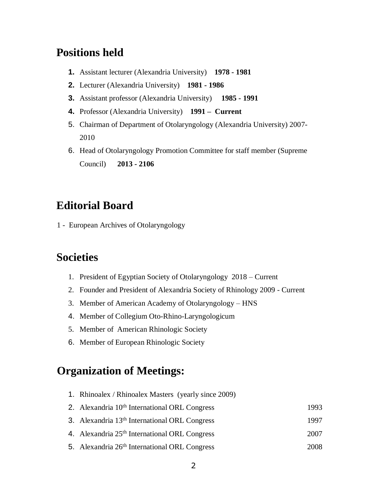## **Positions held**

- **1.** Assistant lecturer (Alexandria University) **1978 - 1981**
- **2.** Lecturer (Alexandria University) **1981 - 1986**
- **3.** Assistant professor (Alexandria University) **1985 - 1991**
- **4.** Professor (Alexandria University) **1991 – Current**
- 5. Chairman of Department of Otolaryngology (Alexandria University) 2007- 2010
- 6. Head of Otolaryngology Promotion Committee for staff member (Supreme Council) **2013 - 2106**

# **Editorial Board**

1 - European Archives of Otolaryngology

#### **Societies**

- 1. President of Egyptian Society of Otolaryngology 2018 Current
- 2. Founder and President of Alexandria Society of Rhinology 2009 Current
- 3. Member of American Academy of Otolaryngology HNS
- 4. Member of Collegium Oto-Rhino-Laryngologicum
- 5. Member of American Rhinologic Society
- 6. Member of European Rhinologic Society

## **Organization of Meetings:**

- 1. Rhinoalex / Rhinoalex Masters (yearly since 2009)
- 2. Alexandria 10<sup>th</sup> International ORL Congress 1993
- 3. Alexandria 13<sup>th</sup> International ORL Congress 1997
- 4. Alexandria 25th International ORL Congress 2007
- 5. Alexandria 26th International ORL Congress 2008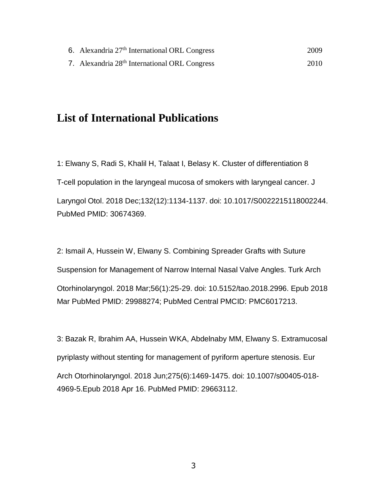| 6. Alexandria 27 <sup>th</sup> International ORL Congress | 2009 |
|-----------------------------------------------------------|------|
| 7. Alexandria 28 <sup>th</sup> International ORL Congress | 2010 |

## **List of International Publications**

1: Elwany S, Radi S, Khalil H, Talaat I, Belasy K. Cluster of differentiation 8 T-cell population in the laryngeal mucosa of smokers with laryngeal cancer. J Laryngol Otol. 2018 Dec;132(12):1134-1137. doi: 10.1017/S0022215118002244. PubMed PMID: 30674369.

2: Ismail A, Hussein W, Elwany S. Combining Spreader Grafts with Suture Suspension for Management of Narrow Internal Nasal Valve Angles. Turk Arch Otorhinolaryngol. 2018 Mar;56(1):25-29. doi: 10.5152/tao.2018.2996. Epub 2018 Mar PubMed PMID: 29988274; PubMed Central PMCID: PMC6017213.

3: Bazak R, Ibrahim AA, Hussein WKA, Abdelnaby MM, Elwany S. Extramucosal pyriplasty without stenting for management of pyriform aperture stenosis. Eur Arch Otorhinolaryngol. 2018 Jun;275(6):1469-1475. doi: 10.1007/s00405-018- 4969-5.Epub 2018 Apr 16. PubMed PMID: 29663112.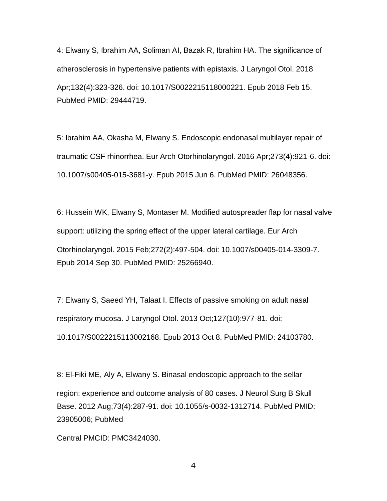4: Elwany S, Ibrahim AA, Soliman AI, Bazak R, Ibrahim HA. The significance of atherosclerosis in hypertensive patients with epistaxis. J Laryngol Otol. 2018 Apr;132(4):323-326. doi: 10.1017/S0022215118000221. Epub 2018 Feb 15. PubMed PMID: 29444719.

5: Ibrahim AA, Okasha M, Elwany S. Endoscopic endonasal multilayer repair of traumatic CSF rhinorrhea. Eur Arch Otorhinolaryngol. 2016 Apr;273(4):921-6. doi: 10.1007/s00405-015-3681-y. Epub 2015 Jun 6. PubMed PMID: 26048356.

6: Hussein WK, Elwany S, Montaser M. Modified autospreader flap for nasal valve support: utilizing the spring effect of the upper lateral cartilage. Eur Arch Otorhinolaryngol. 2015 Feb;272(2):497-504. doi: 10.1007/s00405-014-3309-7. Epub 2014 Sep 30. PubMed PMID: 25266940.

7: Elwany S, Saeed YH, Talaat I. Effects of passive smoking on adult nasal respiratory mucosa. J Laryngol Otol. 2013 Oct;127(10):977-81. doi: 10.1017/S0022215113002168. Epub 2013 Oct 8. PubMed PMID: 24103780.

8: El-Fiki ME, Aly A, Elwany S. Binasal endoscopic approach to the sellar region: experience and outcome analysis of 80 cases. J Neurol Surg B Skull Base. 2012 Aug;73(4):287-91. doi: 10.1055/s-0032-1312714. PubMed PMID: 23905006; PubMed

Central PMCID: PMC3424030.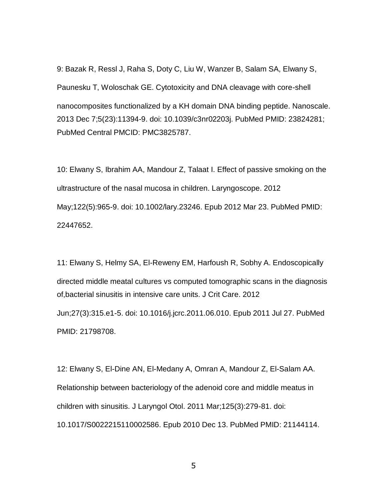9: Bazak R, Ressl J, Raha S, Doty C, Liu W, Wanzer B, Salam SA, Elwany S, Paunesku T, Woloschak GE. Cytotoxicity and DNA cleavage with core-shell nanocomposites functionalized by a KH domain DNA binding peptide. Nanoscale. 2013 Dec 7;5(23):11394-9. doi: 10.1039/c3nr02203j. PubMed PMID: 23824281; PubMed Central PMCID: PMC3825787.

10: Elwany S, Ibrahim AA, Mandour Z, Talaat I. Effect of passive smoking on the ultrastructure of the nasal mucosa in children. Laryngoscope. 2012 May;122(5):965-9. doi: 10.1002/lary.23246. Epub 2012 Mar 23. PubMed PMID: 22447652.

11: Elwany S, Helmy SA, El-Reweny EM, Harfoush R, Sobhy A. Endoscopically directed middle meatal cultures vs computed tomographic scans in the diagnosis of,bacterial sinusitis in intensive care units. J Crit Care. 2012 Jun;27(3):315.e1-5. doi: 10.1016/j.jcrc.2011.06.010. Epub 2011 Jul 27. PubMed

PMID: 21798708.

12: Elwany S, El-Dine AN, El-Medany A, Omran A, Mandour Z, El-Salam AA. Relationship between bacteriology of the adenoid core and middle meatus in children with sinusitis. J Laryngol Otol. 2011 Mar;125(3):279-81. doi: 10.1017/S0022215110002586. Epub 2010 Dec 13. PubMed PMID: 21144114.

5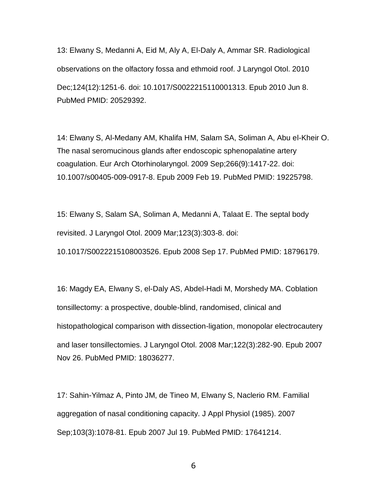13: Elwany S, Medanni A, Eid M, Aly A, El-Daly A, Ammar SR. Radiological observations on the olfactory fossa and ethmoid roof. J Laryngol Otol. 2010 Dec;124(12):1251-6. doi: 10.1017/S0022215110001313. Epub 2010 Jun 8. PubMed PMID: 20529392.

14: Elwany S, Al-Medany AM, Khalifa HM, Salam SA, Soliman A, Abu el-Kheir O. The nasal seromucinous glands after endoscopic sphenopalatine artery coagulation. Eur Arch Otorhinolaryngol. 2009 Sep;266(9):1417-22. doi: 10.1007/s00405-009-0917-8. Epub 2009 Feb 19. PubMed PMID: 19225798.

15: Elwany S, Salam SA, Soliman A, Medanni A, Talaat E. The septal body revisited. J Laryngol Otol. 2009 Mar;123(3):303-8. doi: 10.1017/S0022215108003526. Epub 2008 Sep 17. PubMed PMID: 18796179.

16: Magdy EA, Elwany S, el-Daly AS, Abdel-Hadi M, Morshedy MA. Coblation tonsillectomy: a prospective, double-blind, randomised, clinical and histopathological comparison with dissection-ligation, monopolar electrocautery and laser tonsillectomies. J Laryngol Otol. 2008 Mar;122(3):282-90. Epub 2007 Nov 26. PubMed PMID: 18036277.

17: Sahin-Yilmaz A, Pinto JM, de Tineo M, Elwany S, Naclerio RM. Familial aggregation of nasal conditioning capacity. J Appl Physiol (1985). 2007 Sep;103(3):1078-81. Epub 2007 Jul 19. PubMed PMID: 17641214.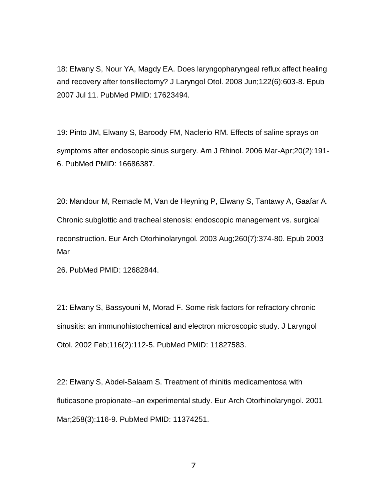18: Elwany S, Nour YA, Magdy EA. Does laryngopharyngeal reflux affect healing and recovery after tonsillectomy? J Laryngol Otol. 2008 Jun;122(6):603-8. Epub 2007 Jul 11. PubMed PMID: 17623494.

19: Pinto JM, Elwany S, Baroody FM, Naclerio RM. Effects of saline sprays on symptoms after endoscopic sinus surgery. Am J Rhinol. 2006 Mar-Apr;20(2):191- 6. PubMed PMID: 16686387.

20: Mandour M, Remacle M, Van de Heyning P, Elwany S, Tantawy A, Gaafar A. Chronic subglottic and tracheal stenosis: endoscopic management vs. surgical reconstruction. Eur Arch Otorhinolaryngol. 2003 Aug;260(7):374-80. Epub 2003 Mar

26. PubMed PMID: 12682844.

21: Elwany S, Bassyouni M, Morad F. Some risk factors for refractory chronic sinusitis: an immunohistochemical and electron microscopic study. J Laryngol Otol. 2002 Feb;116(2):112-5. PubMed PMID: 11827583.

22: Elwany S, Abdel-Salaam S. Treatment of rhinitis medicamentosa with fluticasone propionate--an experimental study. Eur Arch Otorhinolaryngol. 2001 Mar;258(3):116-9. PubMed PMID: 11374251.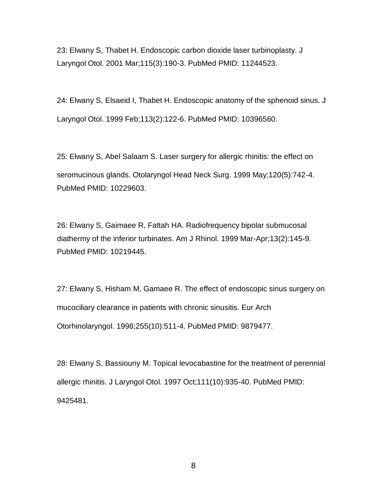23: Elwany S, Thabet H. Endoscopic carbon dioxide laser turbinoplasty. J Laryngol Otol. 2001 Mar;115(3):190-3. PubMed PMID: 11244523.

24: Elwany S, Elsaeid I, Thabet H. Endoscopic anatomy of the sphenoid sinus. J Laryngol Otol. 1999 Feb;113(2):122-6. PubMed PMID: 10396560.

25: Elwany S, Abel Salaam S. Laser surgery for allergic rhinitis: the effect on seromucinous glands. Otolaryngol Head Neck Surg. 1999 May;120(5):742-4. PubMed PMID: 10229603.

26: Elwany S, Gaimaee R, Fattah HA. Radiofrequency bipolar submucosal diathermy of the inferior turbinates. Am J Rhinol. 1999 Mar-Apr;13(2):145-9. PubMed PMID: 10219445.

27: Elwany S, Hisham M, Gamaee R. The effect of endoscopic sinus surgery on mucociliary clearance in patients with chronic sinusitis. Eur Arch Otorhinolaryngol. 1998;255(10):511-4. PubMed PMID: 9879477.

28: Elwany S, Bassiouny M. Topical levocabastine for the treatment of perennial allergic rhinitis. J Laryngol Otol. 1997 Oct;111(10):935-40. PubMed PMID: 9425481.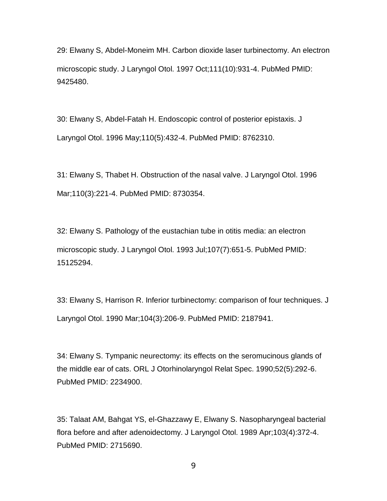29: Elwany S, Abdel-Moneim MH. Carbon dioxide laser turbinectomy. An electron microscopic study. J Laryngol Otol. 1997 Oct;111(10):931-4. PubMed PMID: 9425480.

30: Elwany S, Abdel-Fatah H. Endoscopic control of posterior epistaxis. J Laryngol Otol. 1996 May;110(5):432-4. PubMed PMID: 8762310.

31: Elwany S, Thabet H. Obstruction of the nasal valve. J Laryngol Otol. 1996 Mar;110(3):221-4. PubMed PMID: 8730354.

32: Elwany S. Pathology of the eustachian tube in otitis media: an electron microscopic study. J Laryngol Otol. 1993 Jul;107(7):651-5. PubMed PMID: 15125294.

33: Elwany S, Harrison R. Inferior turbinectomy: comparison of four techniques. J Laryngol Otol. 1990 Mar;104(3):206-9. PubMed PMID: 2187941.

34: Elwany S. Tympanic neurectomy: its effects on the seromucinous glands of the middle ear of cats. ORL J Otorhinolaryngol Relat Spec. 1990;52(5):292-6. PubMed PMID: 2234900.

35: Talaat AM, Bahgat YS, el-Ghazzawy E, Elwany S. Nasopharyngeal bacterial flora before and after adenoidectomy. J Laryngol Otol. 1989 Apr;103(4):372-4. PubMed PMID: 2715690.

9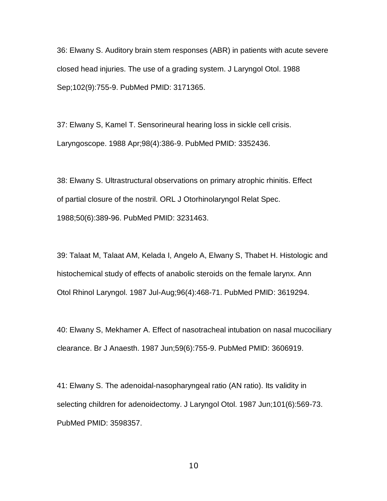36: Elwany S. Auditory brain stem responses (ABR) in patients with acute severe closed head injuries. The use of a grading system. J Laryngol Otol. 1988 Sep;102(9):755-9. PubMed PMID: 3171365.

37: Elwany S, Kamel T. Sensorineural hearing loss in sickle cell crisis. Laryngoscope. 1988 Apr;98(4):386-9. PubMed PMID: 3352436.

38: Elwany S. Ultrastructural observations on primary atrophic rhinitis. Effect of partial closure of the nostril. ORL J Otorhinolaryngol Relat Spec. 1988;50(6):389-96. PubMed PMID: 3231463.

39: Talaat M, Talaat AM, Kelada I, Angelo A, Elwany S, Thabet H. Histologic and histochemical study of effects of anabolic steroids on the female larynx. Ann Otol Rhinol Laryngol. 1987 Jul-Aug;96(4):468-71. PubMed PMID: 3619294.

40: Elwany S, Mekhamer A. Effect of nasotracheal intubation on nasal mucociliary clearance. Br J Anaesth. 1987 Jun;59(6):755-9. PubMed PMID: 3606919.

41: Elwany S. The adenoidal-nasopharyngeal ratio (AN ratio). Its validity in selecting children for adenoidectomy. J Laryngol Otol. 1987 Jun;101(6):569-73. PubMed PMID: 3598357.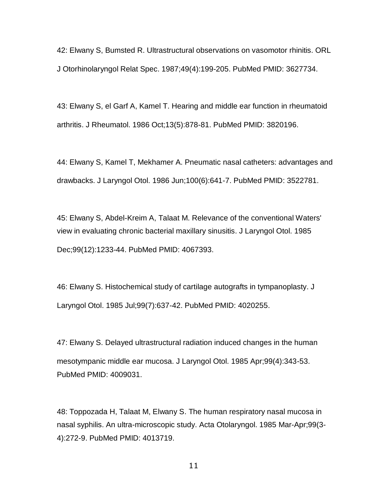42: Elwany S, Bumsted R. Ultrastructural observations on vasomotor rhinitis. ORL J Otorhinolaryngol Relat Spec. 1987;49(4):199-205. PubMed PMID: 3627734.

43: Elwany S, el Garf A, Kamel T. Hearing and middle ear function in rheumatoid arthritis. J Rheumatol. 1986 Oct;13(5):878-81. PubMed PMID: 3820196.

44: Elwany S, Kamel T, Mekhamer A. Pneumatic nasal catheters: advantages and drawbacks. J Laryngol Otol. 1986 Jun;100(6):641-7. PubMed PMID: 3522781.

45: Elwany S, Abdel-Kreim A, Talaat M. Relevance of the conventional Waters' view in evaluating chronic bacterial maxillary sinusitis. J Laryngol Otol. 1985 Dec;99(12):1233-44. PubMed PMID: 4067393.

46: Elwany S. Histochemical study of cartilage autografts in tympanoplasty. J Laryngol Otol. 1985 Jul;99(7):637-42. PubMed PMID: 4020255.

47: Elwany S. Delayed ultrastructural radiation induced changes in the human mesotympanic middle ear mucosa. J Laryngol Otol. 1985 Apr;99(4):343-53. PubMed PMID: 4009031.

48: Toppozada H, Talaat M, Elwany S. The human respiratory nasal mucosa in nasal syphilis. An ultra-microscopic study. Acta Otolaryngol. 1985 Mar-Apr;99(3- 4):272-9. PubMed PMID: 4013719.

11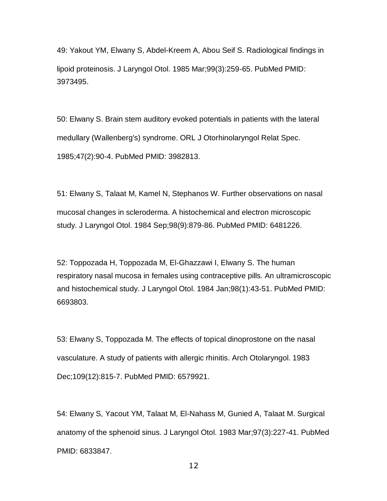49: Yakout YM, Elwany S, Abdel-Kreem A, Abou Seif S. Radiological findings in lipoid proteinosis. J Laryngol Otol. 1985 Mar;99(3):259-65. PubMed PMID: 3973495.

50: Elwany S. Brain stem auditory evoked potentials in patients with the lateral medullary (Wallenberg's) syndrome. ORL J Otorhinolaryngol Relat Spec. 1985;47(2):90-4. PubMed PMID: 3982813.

51: Elwany S, Talaat M, Kamel N, Stephanos W. Further observations on nasal mucosal changes in scleroderma. A histochemical and electron microscopic study. J Laryngol Otol. 1984 Sep;98(9):879-86. PubMed PMID: 6481226.

52: Toppozada H, Toppozada M, El-Ghazzawi I, Elwany S. The human respiratory nasal mucosa in females using contraceptive pills. An ultramicroscopic and histochemical study. J Laryngol Otol. 1984 Jan;98(1):43-51. PubMed PMID: 6693803.

53: Elwany S, Toppozada M. The effects of topical dinoprostone on the nasal vasculature. A study of patients with allergic rhinitis. Arch Otolaryngol. 1983 Dec;109(12):815-7. PubMed PMID: 6579921.

54: Elwany S, Yacout YM, Talaat M, El-Nahass M, Gunied A, Talaat M. Surgical anatomy of the sphenoid sinus. J Laryngol Otol. 1983 Mar;97(3):227-41. PubMed PMID: 6833847.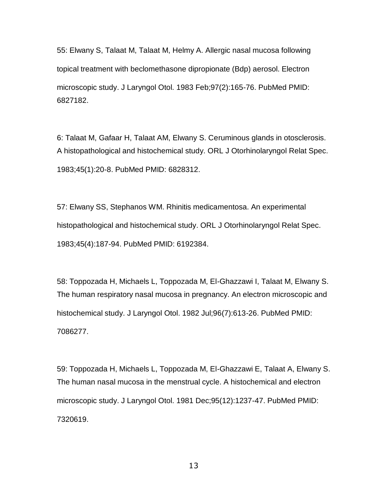55: Elwany S, Talaat M, Talaat M, Helmy A. Allergic nasal mucosa following topical treatment with beclomethasone dipropionate (Bdp) aerosol. Electron microscopic study. J Laryngol Otol. 1983 Feb;97(2):165-76. PubMed PMID: 6827182.

6: Talaat M, Gafaar H, Talaat AM, Elwany S. Ceruminous glands in otosclerosis. A histopathological and histochemical study. ORL J Otorhinolaryngol Relat Spec. 1983;45(1):20-8. PubMed PMID: 6828312.

57: Elwany SS, Stephanos WM. Rhinitis medicamentosa. An experimental histopathological and histochemical study. ORL J Otorhinolaryngol Relat Spec. 1983;45(4):187-94. PubMed PMID: 6192384.

58: Toppozada H, Michaels L, Toppozada M, El-Ghazzawi I, Talaat M, Elwany S. The human respiratory nasal mucosa in pregnancy. An electron microscopic and histochemical study. J Laryngol Otol. 1982 Jul;96(7):613-26. PubMed PMID: 7086277.

59: Toppozada H, Michaels L, Toppozada M, El-Ghazzawi E, Talaat A, Elwany S. The human nasal mucosa in the menstrual cycle. A histochemical and electron microscopic study. J Laryngol Otol. 1981 Dec;95(12):1237-47. PubMed PMID: 7320619.